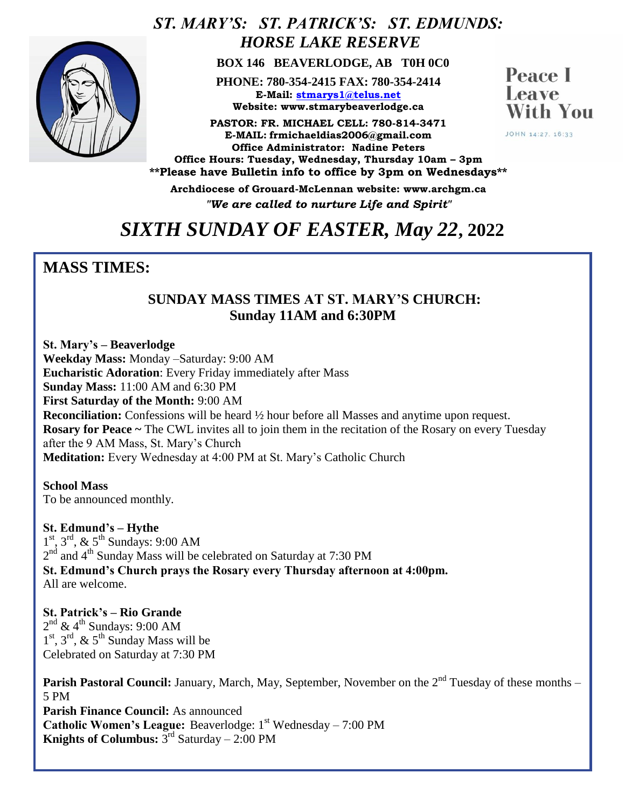

## *ST. MARY'S: ST. PATRICK'S: ST. EDMUNDS: HORSE LAKE RESERVE*

 **BOX 146 BEAVERLODGE, AB T0H 0C0**

**PHONE: 780-354-2415 FAX: 780-354-2414 E-Mail: [stmarys1@telus.net](mailto:stmarys1@telus.net) Website: www.stmarybeaverlodge.ca**

**PASTOR: FR. MICHAEL CELL: 780-814-3471 E-MAIL: frmichaeldias2006@gmail.com Office Administrator: Nadine Peters Office Hours: Tuesday, Wednesday, Thursday 10am – 3pm \*\*Please have Bulletin info to office by 3pm on Wednesdays\*\*** 

**Peace** I Leave With You

JOHN 14:27, 16:33

**Archdiocese of Grouard-McLennan website: www.archgm.ca** *"We are called to nurture Life and Spirit"*

## *SIXTH SUNDAY OF EASTER, May 22***, 2022**

## **MASS TIMES:**

#### **SUNDAY MASS TIMES AT ST. MARY'S CHURCH: Sunday 11AM and 6:30PM**

**St. Mary's – Beaverlodge Weekday Mass:** Monday –Saturday: 9:00 AM **Eucharistic Adoration**: Every Friday immediately after Mass **Sunday Mass:** 11:00 AM and 6:30 PM **First Saturday of the Month:** 9:00 AM **Reconciliation:** Confessions will be heard  $\frac{1}{2}$  hour before all Masses and anytime upon request. **Rosary for Peace ~** The CWL invites all to join them in the recitation of the Rosary on every Tuesday after the 9 AM Mass, St. Mary's Church **Meditation:** Every Wednesday at 4:00 PM at St. Mary's Catholic Church

**School Mass** To be announced monthly.

**St. Edmund's – Hythe**  1<sup>st</sup>, 3<sup>rd</sup>, & 5<sup>th</sup> Sundays: 9:00 AM  $2<sup>nd</sup>$  and 4<sup>th</sup> Sunday Mass will be celebrated on Saturday at 7:30 PM **St. Edmund's Church prays the Rosary every Thursday afternoon at 4:00pm.**  All are welcome.

**St. Patrick's – Rio Grande**   $2<sup>nd</sup>$  & 4<sup>th</sup> Sundays: 9:00 AM  $1<sup>st</sup>$ ,  $3<sup>rd</sup>$ ,  $\&$   $5<sup>th</sup>$  Sunday Mass will be Celebrated on Saturday at 7:30 PM

**Parish Pastoral Council:** January, March, May, September, November on the 2<sup>nd</sup> Tuesday of these months – 5 PM **Parish Finance Council:** As announced **Catholic Women's League:** Beaverlodge: 1<sup>st</sup> Wednesday – 7:00 PM **Knights of Columbus:**  $3^{rd}$  Saturday  $- 2:00$  PM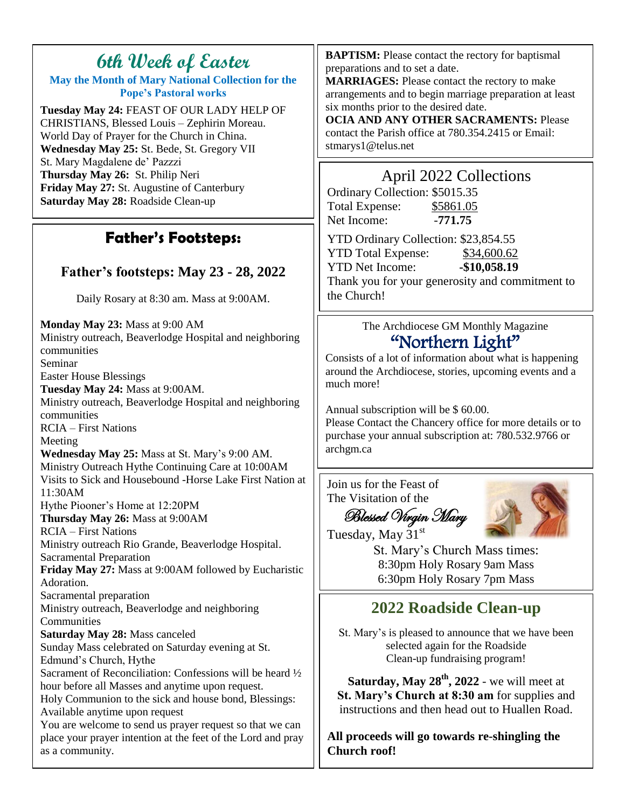# **6th Week of Easter**

**May the Month of Mary National Collection for the Pope's Pastoral works**

**Tuesday May 24:** FEAST OF OUR LADY HELP OF CHRISTIANS, Blessed Louis – Zephirin Moreau. World Day of Prayer for the Church in China. **Wednesday May 25:** St. Bede, St. Gregory VII St. Mary Magdalene de' Pazzzi **Thursday May 26:** St. Philip Neri **Friday May 27:** St. Augustine of Canterbury **Saturday May 28:** Roadside Clean-up

## **Father's Footsteps:**

### **Father's footsteps: May 23 - 28, 2022**

Daily Rosary at 8:30 am. Mass at 9:00AM.

**Monday May 23:** Mass at 9:00 AM Ministry outreach, Beaverlodge Hospital and neighboring communities Seminar Easter House Blessings **Tuesday May 24:** Mass at 9:00AM. Ministry outreach, Beaverlodge Hospital and neighboring communities RCIA – First Nations Meeting **Wednesday May 25:** Mass at St. Mary's 9:00 AM. Ministry Outreach Hythe Continuing Care at 10:00AM Visits to Sick and Housebound -Horse Lake First Nation at 11:30AM Hythe Piooner's Home at 12:20PM **Thursday May 26:** Mass at 9:00AM RCIA – First Nations Ministry outreach Rio Grande, Beaverlodge Hospital. Sacramental Preparation **Friday May 27:** Mass at 9:00AM followed by Eucharistic Adoration. Sacramental preparation Ministry outreach, Beaverlodge and neighboring **Communities Saturday May 28:** Mass canceled Sunday Mass celebrated on Saturday evening at St. Edmund's Church, Hythe Sacrament of Reconciliation: Confessions will be heard ½ hour before all Masses and anytime upon request. Holy Communion to the sick and house bond, Blessings: Available anytime upon request You are welcome to send us prayer request so that we can place your prayer intention at the feet of the Lord and pray as a community.

**BAPTISM:** Please contact the rectory for baptismal preparations and to set a date.

**MARRIAGES:** Please contact the rectory to make arrangements and to begin marriage preparation at least six months prior to the desired date.

**OCIA AND ANY OTHER SACRAMENTS:** Please contact the Parish office at 780.354.2415 or Email: stmarys1@telus.net

## April 2022 Collections

Ordinary Collection: \$5015.35 Total Expense: \$5861.05 Net Income: -771.75

YTD Ordinary Collection: \$23,854.55 YTD Total Expense: \$34,600.62 YTD Net Income: **-\$10,058.19** Thank you for your generosity and commitment to the Church!

> The Archdiocese GM Monthly Magazine "Northern Light"

Consists of a lot of information about what is happening around the Archdiocese, stories, upcoming events and a much more!

Annual subscription will be \$ 60.00. Please Contact the Chancery office for more details or to purchase your annual subscription at: 780.532.9766 or archgm.ca

Join us for the Feast of The Visitation of the



 Blessed Virgin Mary Tuesday, May 31st

St. Mary's Church Mass times: 8:30pm Holy Rosary 9am Mass 6:30pm Holy Rosary 7pm Mass

## **2022 Roadside Clean-up**

St. Mary's is pleased to announce that we have been selected again for the Roadside Clean-up fundraising program!

**Saturday, May 28th, 2022** - we will meet at **St. Mary's Church at 8:30 am** for supplies and instructions and then head out to Huallen Road.

**All proceeds will go towards re-shingling the Church roof!**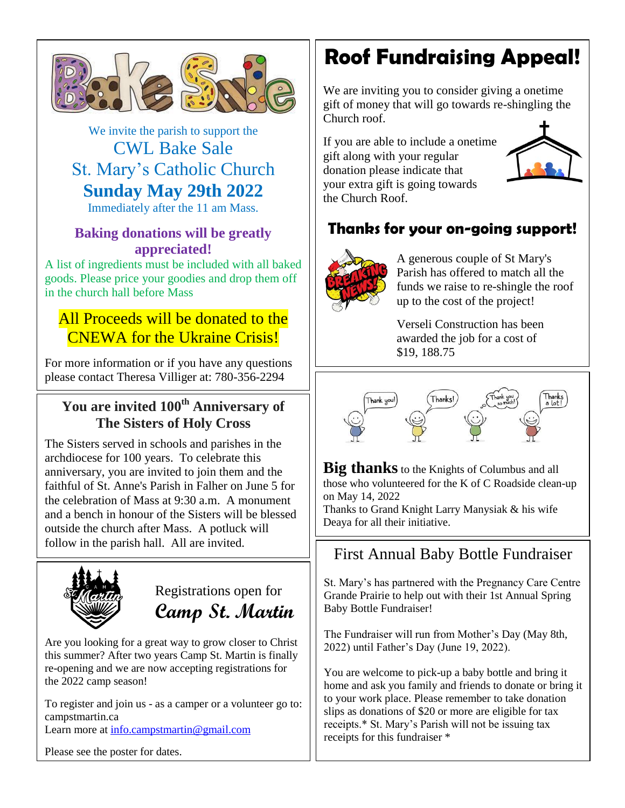

We invite the parish to support the CWL Bake Sale St. Mary's Catholic Church **Sunday May 29th 2022**

Immediately after the 11 am Mass.

#### **Baking donations will be greatly appreciated!**

A list of ingredients must be included with all baked goods. Please price your goodies and drop them off in the church hall before Mass

## All Proceeds will be donated to the CNEWA for the Ukraine Crisis!

For more information or if you have any questions please contact Theresa Villiger at: 780-356-2294

#### **You are invited 100th Anniversary of The Sisters of Holy Cross**

The Sisters served in schools and parishes in the archdiocese for 100 years. To celebrate this anniversary, you are invited to join them and the faithful of St. Anne's Parish in Falher on June 5 for the celebration of Mass at 9:30 a.m. A monument and a bench in honour of the Sisters will be blessed outside the church after Mass. A potluck will follow in the parish hall. All are invited.



Registrations open for **Camp St. Martin**

Are you looking for a great way to grow closer to Christ this summer? After two years Camp St. Martin is finally re-opening and we are now accepting registrations for the 2022 camp season!

To register and join us - as a camper or a volunteer go to: campstmartin.ca Learn more at [info.campstmartin@gmail.com](mailto:info.campstmartin@gmail.com)

Please see the poster for dates.

# **Roof Fundraising Appeal!**

We are inviting you to consider giving a onetime gift of money that will go towards re-shingling the Church roof.

If you are able to include a onetime gift along with your regular donation please indicate that your extra gift is going towards the Church Roof.



## **Thanks for your on-going support!**



A generous couple of St Mary's Parish has offered to match all the funds we raise to re-shingle the roof up to the cost of the project!

Verseli Construction has been awarded the job for a cost of \$19, 188.75



**Big thanks** to the Knights of Columbus and all those who volunteered for the K of C Roadside clean-up on May 14, 2022

Thanks to Grand Knight Larry Manysiak & his wife Deaya for all their initiative.

## First Annual Baby Bottle Fundraiser

St. Mary's has partnered with the Pregnancy Care Centre Grande Prairie to help out with their 1st Annual Spring Baby Bottle Fundraiser!

The Fundraiser will run from Mother's Day (May 8th, 2022) until Father's Day (June 19, 2022).

You are welcome to pick-up a baby bottle and bring it home and ask you family and friends to donate or bring it to your work place. Please remember to take donation slips as donations of \$20 or more are eligible for tax receipts.\* St. Mary's Parish will not be issuing tax receipts for this fundraiser \*